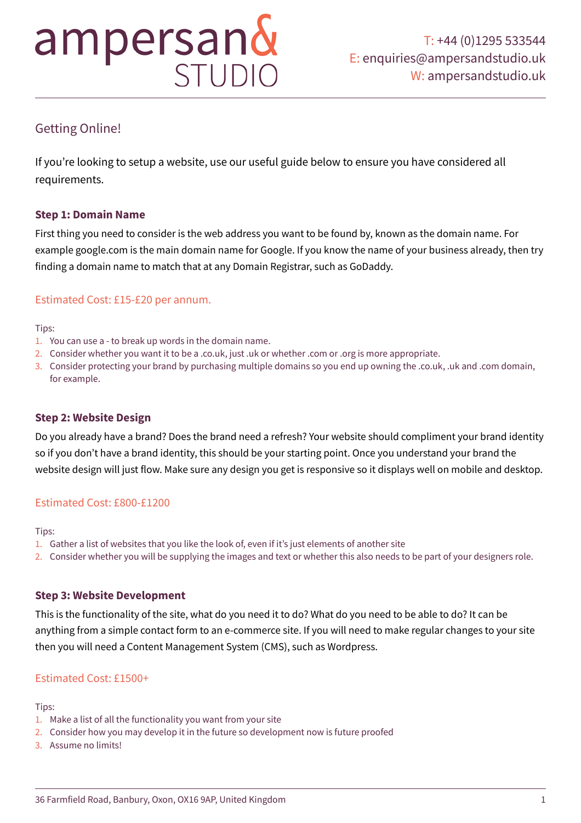# ampersand

# Getting Online!

If you're looking to setup a website, use our useful guide below to ensure you have considered all requirements.

# **Step 1: Domain Name**

First thing you need to consider is the web address you want to be found by, known as the domain name. For example google.com is the main domain name for Google. If you know the name of your business already, then try finding a domain name to match that at any Domain Registrar, such as GoDaddy.

# Estimated Cost: £15-£20 per annum.

#### Tips:

- 1. You can use a to break up words in the domain name.
- 2. Consider whether you want it to be a .co.uk, just .uk or whether .com or .org is more appropriate.
- 3. Consider protecting your brand by purchasing multiple domains so you end up owning the .co.uk, .uk and .com domain, for example.

# **Step 2: Website Design**

Do you already have a brand? Does the brand need a refresh? Your website should compliment your brand identity so if you don't have a brand identity, this should be your starting point. Once you understand your brand the website design will just flow. Make sure any design you get is responsive so it displays well on mobile and desktop.

# Estimated Cost: £800-£1200

#### Tips:

- 1. Gather a list of websites that you like the look of, even if it's just elements of another site
- 2. Consider whether you will be supplying the images and text or whether this also needs to be part of your designers role.

# **Step 3: Website Development**

This is the functionality of the site, what do you need it to do? What do you need to be able to do? It can be anything from a simple contact form to an e-commerce site. If you will need to make regular changes to your site then you will need a Content Management System (CMS), such as Wordpress.

# Estimated Cost: £1500+

Tips:

- 1. Make a list of all the functionality you want from your site
- 2. Consider how you may develop it in the future so development now is future proofed
- 3. Assume no limits!